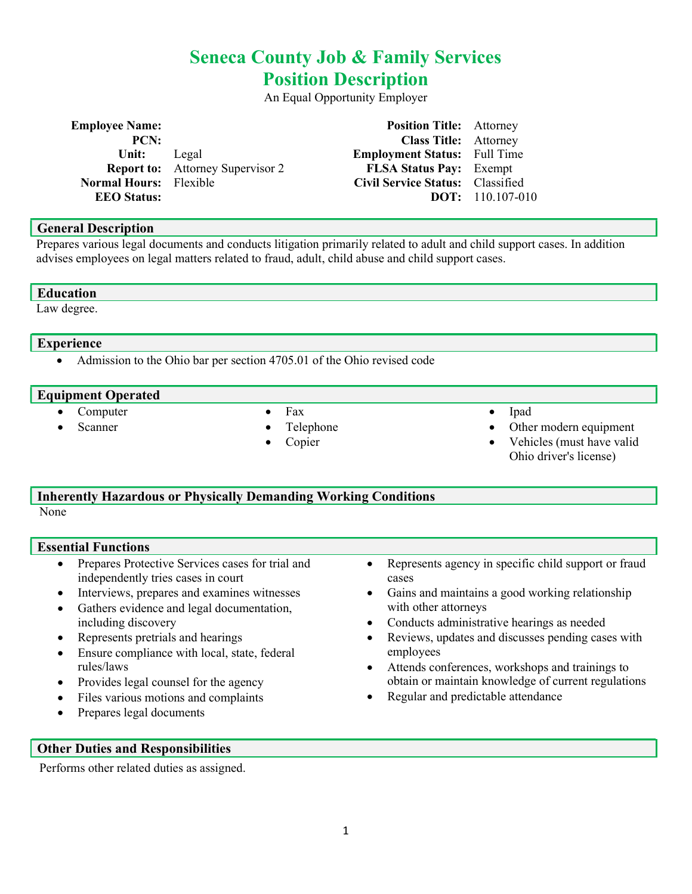# Seneca County Job & Family Services Position Description

An Equal Opportunity Employer

| <b>Employee Name:</b>         |                                         | <b>Position Title:</b> Attorney     |                           |
|-------------------------------|-----------------------------------------|-------------------------------------|---------------------------|
| PCN:                          |                                         | <b>Class Title:</b> Attorney        |                           |
| Unit:                         | Legal                                   | <b>Employment Status:</b> Full Time |                           |
|                               | <b>Report to:</b> Attorney Supervisor 2 | <b>FLSA Status Pay:</b> Exempt      |                           |
| <b>Normal Hours:</b> Flexible |                                         | Civil Service Status: Classified    |                           |
| <b>EEO</b> Status:            |                                         |                                     | <b>DOT:</b> $110.107-010$ |

#### General Description

Prepares various legal documents and conducts litigation primarily related to adult and child support cases. In addition advises employees on legal matters related to fraud, adult, child abuse and child support cases.

#### **Education**

Law degree.

#### Experience

• Admission to the Ohio bar per section 4705.01 of the Ohio revised code

#### Equipment Operated

 Computer Scanner

- Fax
- Telephone
- Copier
- Ipad
- Other modern equipment
- Vehicles (must have valid
- Ohio driver's license)

# Inherently Hazardous or Physically Demanding Working Conditions

None

# Essential Functions

- Prepares Protective Services cases for trial and independently tries cases in court
- Interviews, prepares and examines witnesses
- Gathers evidence and legal documentation, including discovery
- Represents pretrials and hearings
- Ensure compliance with local, state, federal rules/laws
- Provides legal counsel for the agency
- Files various motions and complaints
- Prepares legal documents
- Represents agency in specific child support or fraud cases
- Gains and maintains a good working relationship with other attorneys
- Conducts administrative hearings as needed
- Reviews, updates and discusses pending cases with employees
- Attends conferences, workshops and trainings to obtain or maintain knowledge of current regulations
- Regular and predictable attendance

#### Other Duties and Responsibilities

Performs other related duties as assigned.